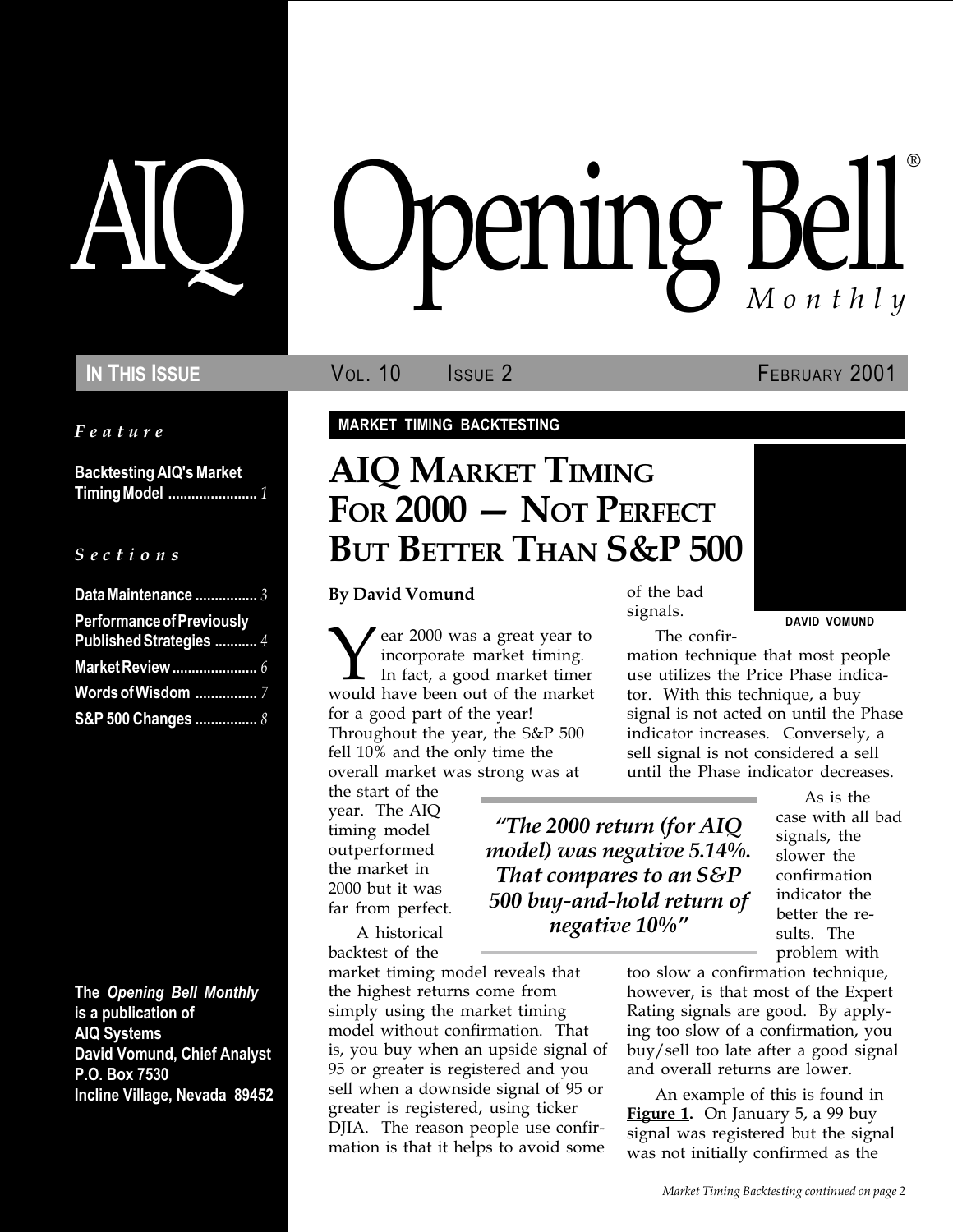Feature

Backtesting AIQ's Market Timing Model ....................... 1

 $S$  e c t i o n s

| Data Maintenance  3                                         |  |
|-------------------------------------------------------------|--|
| <b>Performance of Previously</b><br>Published Strategies  4 |  |
|                                                             |  |
|                                                             |  |
| S&P 500 Changes  8                                          |  |

The Opening Bell Monthly is a publication of AIQ Systems David Vomund, Chief Analyst P.O. Box 7530 Incline Village, Nevada 89452

# pening Bell ®

IN THIS ISSUE **VOL. 10** ISSUE 2 **FEBRUARY 2001** 

MARKET TIMING BACKTESTING

# AIQ MARKET TIMING FOR 2000 - NOT PERFECT BUT BETTER THAN S&P 500

By David Vomund

Year 2000 was a great year to incorporate market timing. In fact, a good market timer would have been out of the market for a good part of the year! Throughout the year, the S&P 500 fell 10% and the only time the overall market was strong was at

the start of the year. The AIQ timing model outperformed the market in 2000 but it was far from perfect.

A historical backtest of the

market timing model reveals that the highest returns come from simply using the market timing model without confirmation. That is, you buy when an upside signal of 95 or greater is registered and you sell when a downside signal of 95 or greater is registered, using ticker DJIA. The reason people use confirmation is that it helps to avoid some

of the bad signals.

The 2000 return (for AIQ model) was negative 5.14%. That compares to an S&P 500 buy-and-hold return of negative 10%

DAVID VOMUND The confir-

mation technique that most people use utilizes the Price Phase indicator. With this technique, a buy signal is not acted on until the Phase indicator increases. Conversely, a sell signal is not considered a sell until the Phase indicator decreases.

> As is the case with all bad signals, the slower the confirmation indicator the better the results. The problem with

too slow a confirmation technique, however, is that most of the Expert Rating signals are good. By applying too slow of a confirmation, you buy/sell too late after a good signal and overall returns are lower.

An example of this is found in **Figure 1.** On January 5, a 99 buy signal was registered but the signal was not initially confirmed as the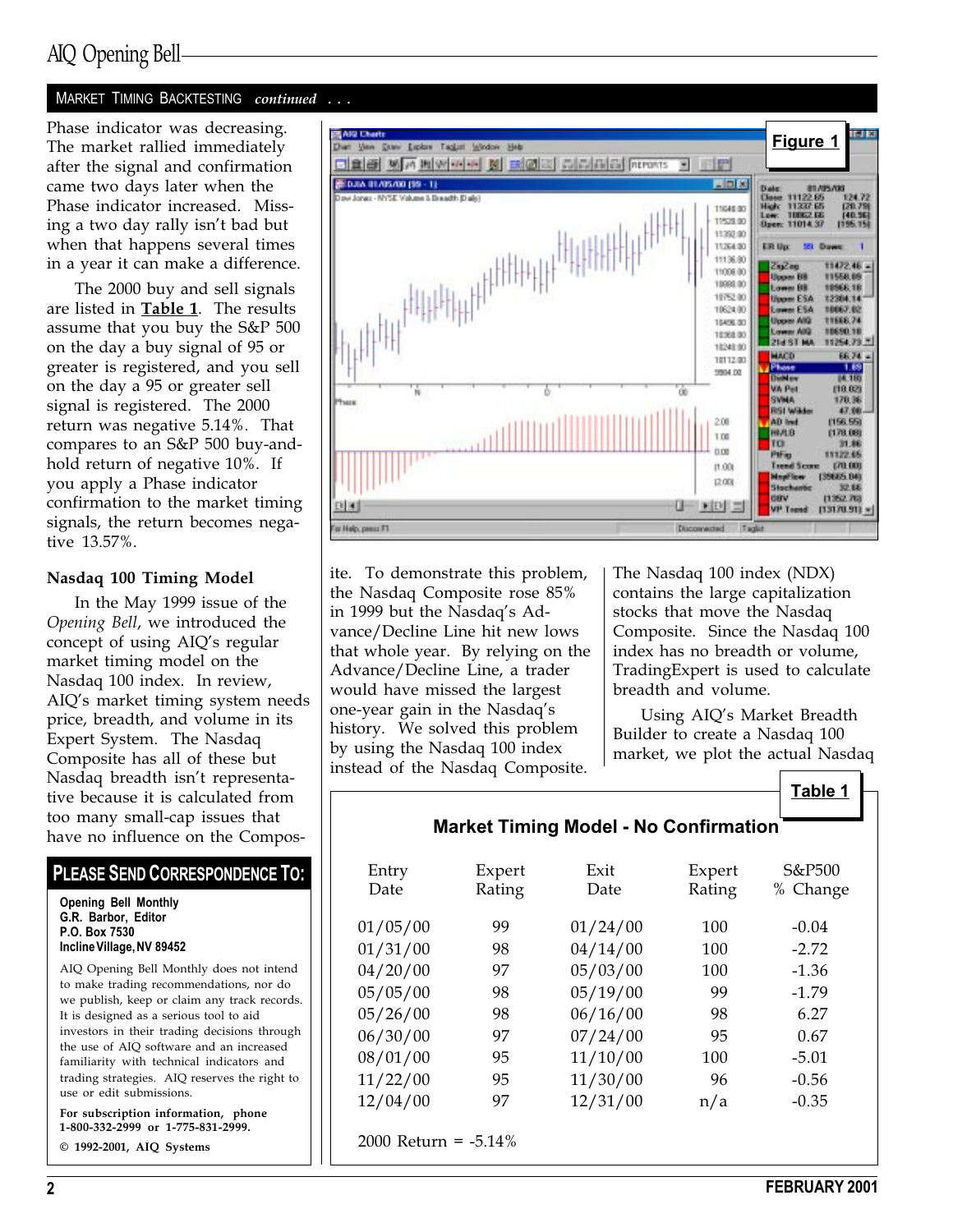## AIQ Opening Bell

#### MARKET TIMING BACKTESTING continued ...

The market rallied immediately after the signal and confirmation came two days later when the Phase indicator increased. Missing a two day rally isn't bad but when that happens several times in a year it can make a difference.

The 2000 buy and sell signals are listed in **Table 1**. The results assume that you buy the S&P 500 on the day a buy signal of 95 or greater is registered, and you sell on the day a 95 or greater sell signal is registered. The 2000 return was negative 5.14%. That compares to an S&P 500 buy-andhold return of negative 10%. If you apply a Phase indicator confirmation to the market timing signals, the return becomes negative 13.57%.

#### Nasdaq 100 Timing Model

In the May 1999 issue of the Opening Bell, we introduced the concept of using AIQ's regular market timing model on the Nasdaq 100 index. In review, AIQ's market timing system needs price, breadth, and volume in its Expert System. The Nasdaq Composite has all of these but Nasdaq breadth isn't representative because it is calculated from too many small-cap issues that have no influence on the Compos-

#### PLEASE SEND CORRESPONDENCE TO:

Opening Bell Monthly G.R. Barbor, Editor P.O. Box 7530 Incline Village, NV 89452

AIQ Opening Bell Monthly does not intend to make trading recommendations, nor do we publish, keep or claim any track records. It is designed as a serious tool to aid investors in their trading decisions through the use of AIQ software and an increased familiarity with technical indicators and trading strategies. AIQ reserves the right to use or edit submissions.

For subscription information, phone 1-800-332-2999 or 1-775-831-2999.

© 1992-2001, AIQ Systems



ite. To demonstrate this problem, the Nasdaq Composite rose 85% in 1999 but the Nasdaq's Advance/Decline Line hit new lows that whole year. By relying on the Advance/Decline Line, a trader would have missed the largest one-year gain in the Nasdaq's history. We solved this problem by using the Nasdaq 100 index instead of the Nasdaq Composite.

The Nasdaq 100 index (NDX) contains the large capitalization stocks that move the Nasdaq Composite. Since the Nasdaq 100 index has no breadth or volume, TradingExpert is used to calculate breadth and volume.

Using AIO's Market Breadth Builder to create a Nasdaq 100 market, we plot the actual Nasdaq

#### Market Timing Model - No Confirmation

| Entry<br>Date           | Expert<br>Rating | Exit<br>Date | Expert<br>Rating | S&P500<br>% Change |  |
|-------------------------|------------------|--------------|------------------|--------------------|--|
| 01/05/00                | 99               | 01/24/00     | 100              | $-0.04$            |  |
| 01/31/00                | 98               | 04/14/00     | 100              | $-2.72$            |  |
| 04/20/00                | 97               | 05/03/00     | 100              | $-1.36$            |  |
| 05/05/00                | 98               | 05/19/00     | 99               | $-1.79$            |  |
| 05/26/00                | 98               | 06/16/00     | 98               | 6.27               |  |
| 06/30/00                | 97               | 07/24/00     | 95               | 0.67               |  |
| 08/01/00                | 95               | 11/10/00     | 100              | $-5.01$            |  |
| 11/22/00                | 95               | 11/30/00     | 96               | $-0.56$            |  |
| 12/04/00                | 97               | 12/31/00     | n/a              | $-0.35$            |  |
| 2000 Return = $-5.14\%$ |                  |              |                  |                    |  |

Table 1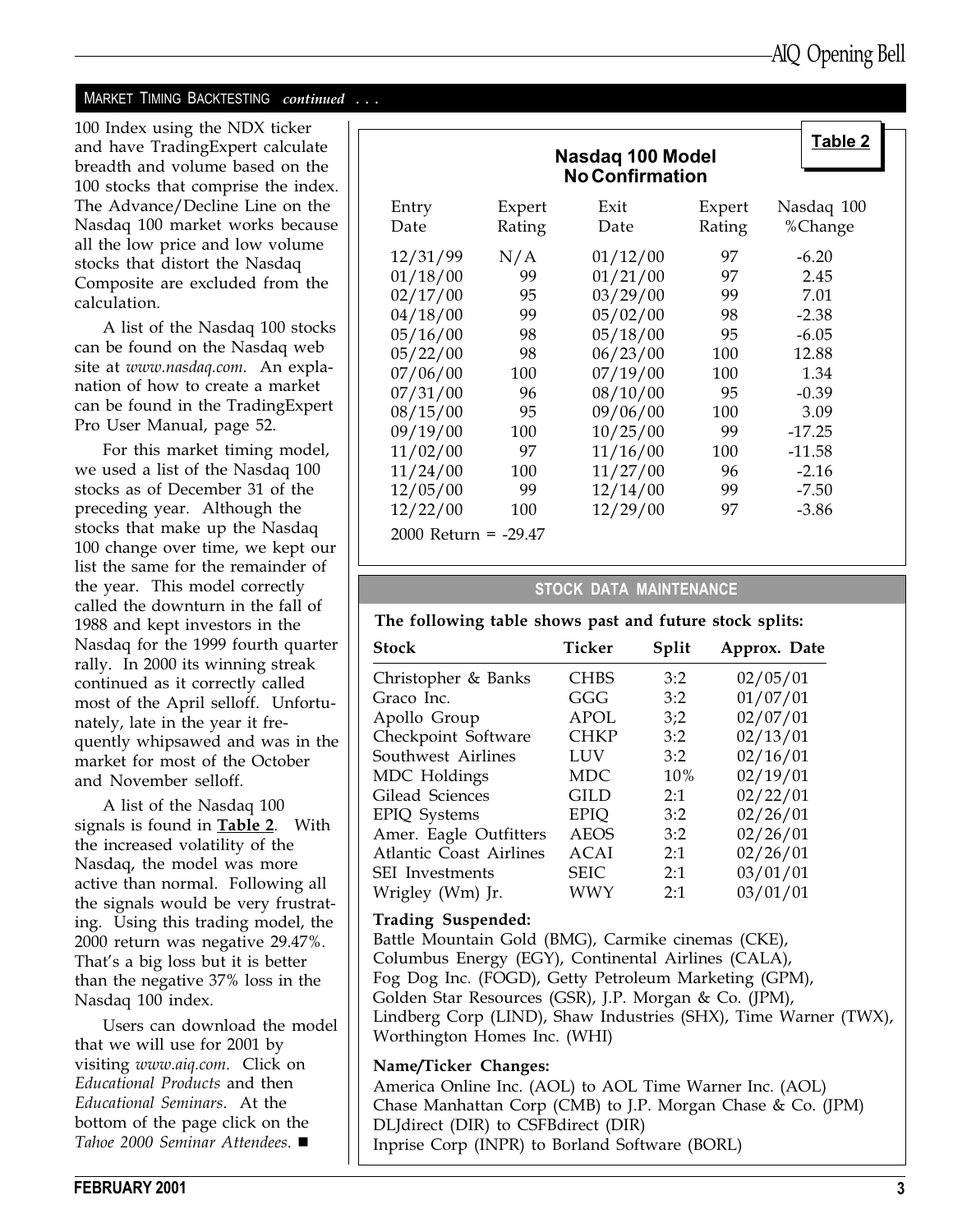#### MARKET TIMING BACKTESTING continued ...

100 Index using the NDX ticker and have TradingExpert calculate breadth and volume based on the 100 stocks that comprise the index. The Advance/Decline Line on the Nasdaq 100 market works because all the low price and low volume stocks that distort the Nasdaq Composite are excluded from the calculation.

A list of the Nasdaq 100 stocks can be found on the Nasdaq web site at www.nasdaq.com. An explanation of how to create a market can be found in the TradingExpert Pro User Manual, page 52.

For this market timing model, we used a list of the Nasdaq 100 stocks as of December 31 of the preceding year. Although the stocks that make up the Nasdaq 100 change over time, we kept our list the same for the remainder of the year. This model correctly called the downturn in the fall of 1988 and kept investors in the Nasdaq for the 1999 fourth quarter rally. In 2000 its winning streak continued as it correctly called most of the April selloff. Unfortunately, late in the year it frequently whipsawed and was in the market for most of the October and November selloff.

A list of the Nasdaq 100 signals is found in Table 2. With the increased volatility of the Nasdaq, the model was more active than normal. Following all the signals would be very frustrating. Using this trading model, the 2000 return was negative 29.47%. That's a big loss but it is better than the negative 37% loss in the Nasdaq 100 index.

Users can download the model that we will use for 2001 by visiting www.aiq.com. Click on Educational Products and then Educational Seminars. At the bottom of the page click on the Tahoe 2000 Seminar Attendees.  $\blacksquare$ 

|                                              |           | Nasdag 100 Model<br><b>No Confirmation</b> |          | Table 2            |
|----------------------------------------------|-----------|--------------------------------------------|----------|--------------------|
| Entry                                        | Expert    | Exit                                       | Expert   | Nasdaq 100         |
| Date                                         | Rating    | Date                                       | Rating   | %Change            |
| 12/31/99                                     | N/A       | 01/12/00                                   | 97       | $-6.20$            |
| 01/18/00                                     | 99        | 01/21/00                                   | 97       | 2.45               |
| 02/17/00                                     | 95        | 03/29/00                                   | 99       | 7.01               |
| 04/18/00                                     | 99        | 05/02/00                                   | 98       | $-2.38$            |
| 05/16/00                                     | 98        | 05/18/00                                   | 95       | $-6.05$            |
| 05/22/00                                     | 98        | 06/23/00                                   | 100      | 12.88              |
| 07/06/00                                     | 100       | 07/19/00                                   | 100      | 1.34               |
| 07/31/00                                     | 96        | 08/10/00                                   | 95       | $-0.39$            |
| 08/15/00                                     | 95        | 09/06/00                                   | 100      | 3.09               |
| 09/19/00                                     | 100       | 10/25/00                                   | 99       | $-17.25$           |
| 11/02/00                                     | 97        | 11/16/00                                   | 100      | $-11.58$           |
| 11/24/00                                     | 100       | 11/27/00                                   | 96       | $-2.16$            |
| 12/05/00<br>12/22/00<br>2000 Return = -29.47 | 99<br>100 | 12/14/00<br>12/29/00                       | 99<br>97 | $-7.50$<br>$-3.86$ |

#### STOCK DATA MAINTENANCE

#### The following table shows past and future stock splits:

| <b>Stock</b>                   | Ticker      | Split | Approx. Date |
|--------------------------------|-------------|-------|--------------|
| Christopher & Banks            | <b>CHBS</b> | 3:2   | 02/05/01     |
| Graco Inc.                     | GGG         | 3:2   | 01/07/01     |
| Apollo Group                   | <b>APOL</b> | 3:2   | 02/07/01     |
| Checkpoint Software            | <b>CHKP</b> | 3:2   | 02/13/01     |
| Southwest Airlines             | LUV         | 3:2   | 02/16/01     |
| MDC Holdings                   | <b>MDC</b>  | 10%   | 02/19/01     |
| Gilead Sciences                | <b>GILD</b> | 2:1   | 02/22/01     |
| EPIQ Systems                   | <b>EPIQ</b> | 3:2   | 02/26/01     |
| Amer. Eagle Outfitters         | <b>AEOS</b> | 3:2   | 02/26/01     |
| <b>Atlantic Coast Airlines</b> | ACAI        | 2:1   | 02/26/01     |
| <b>SEI</b> Investments         | <b>SEIC</b> | 2:1   | 03/01/01     |
| Wrigley (Wm) Jr.               | <b>WWY</b>  | 2:1   | 03/01/01     |
|                                |             |       |              |

#### Trading Suspended:

Battle Mountain Gold (BMG), Carmike cinemas (CKE), Columbus Energy (EGY), Continental Airlines (CALA), Fog Dog Inc. (FOGD), Getty Petroleum Marketing (GPM), Golden Star Resources (GSR), J.P. Morgan & Co. (JPM), Lindberg Corp (LIND), Shaw Industries (SHX), Time Warner (TWX), Worthington Homes Inc. (WHI)

#### Name/Ticker Changes:

America Online Inc. (AOL) to AOL Time Warner Inc. (AOL) Chase Manhattan Corp (CMB) to J.P. Morgan Chase & Co. (JPM) DLJdirect (DIR) to CSFBdirect (DIR) Inprise Corp (INPR) to Borland Software (BORL)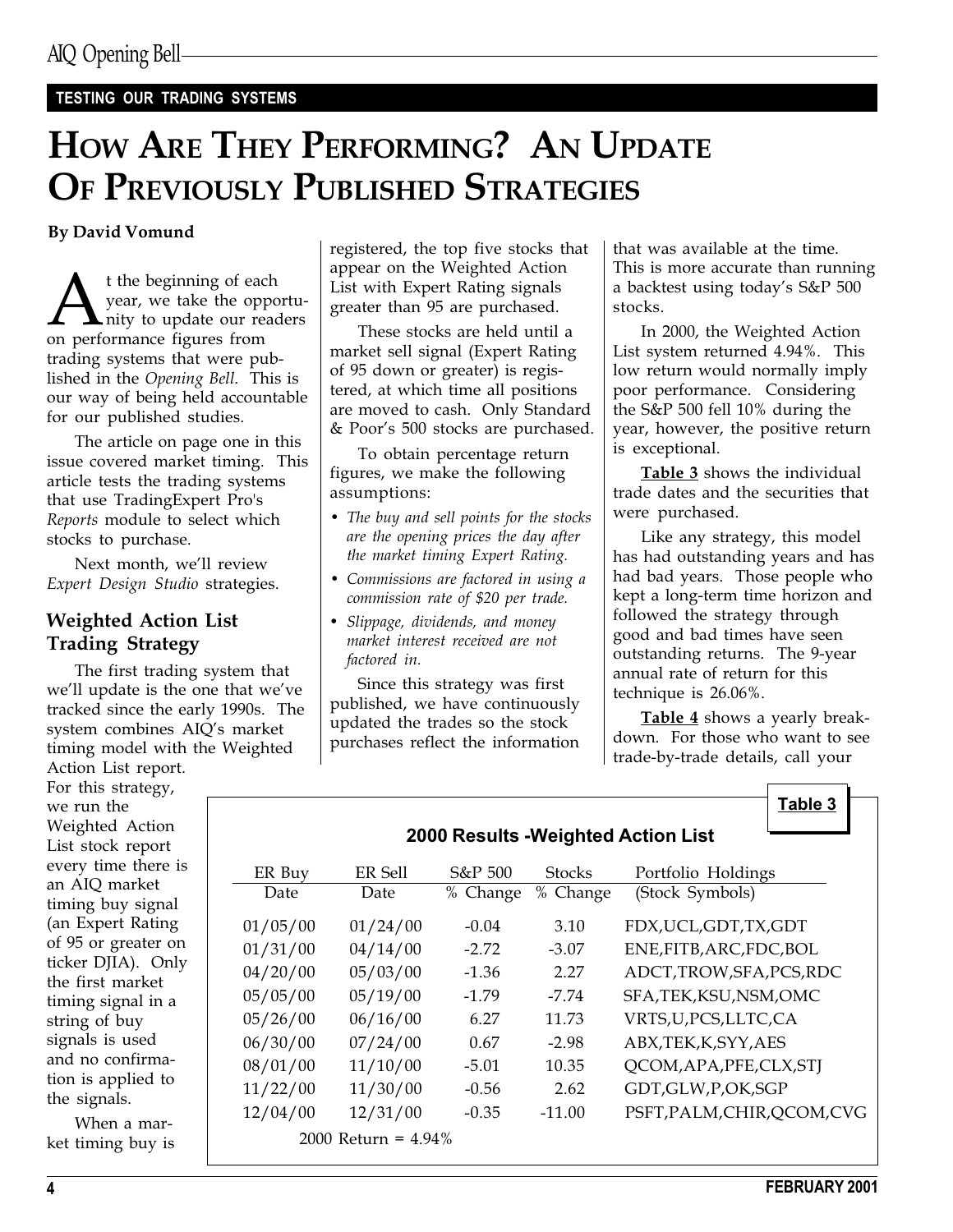#### TESTING OUR TRADING SYSTEMS

# HOW ARE THEY PERFORMING? AN UPDATE OF PREVIOUSLY PUBLISHED STRATEGIES

A t the beginning of each<br>year, we take the opport<br>on performance figures from year, we take the opportu-**L**nity to update our readers trading systems that were published in the Opening Bell. This is our way of being held accountable for our published studies.

The article on page one in this issue covered market timing. This article tests the trading systems that use TradingExpert Pro's Reports module to select which stocks to purchase.

Next month, we'll review Expert Design Studio strategies.

#### Weighted Action List Trading Strategy

The first trading system that we'll update is the one that we've tracked since the early 1990s. The system combines AIQ's market timing model with the Weighted Action List report.

For this strategy, we run the Weighted Action List stock report every time there is an AIQ market timing buy signal (an Expert Rating of 95 or greater on ticker DJIA). Only the first market timing signal in a string of buy signals is used and no confirmation is applied to the signals.

When a market timing buy is

By David Vomund<br>
registered, the top five stocks that appear on the Weighted Action List with Expert Rating signals greater than 95 are purchased.

> These stocks are held until a market sell signal (Expert Rating of 95 down or greater) is registered, at which time all positions are moved to cash. Only Standard & Poor's 500 stocks are purchased.

To obtain percentage return figures, we make the following assumptions:

- The buy and sell points for the stocks are the opening prices the day after the market timing Expert Rating.
- Commissions are factored in using a commission rate of \$20 per trade.
- Slippage, dividends, and money market interest received are not factored in.

Since this strategy was first published, we have continuously updated the trades so the stock purchases reflect the information that was available at the time. This is more accurate than running a backtest using today's S&P 500 stocks.

In 2000, the Weighted Action List system returned 4.94%. This low return would normally imply poor performance. Considering the S&P 500 fell 10% during the year, however, the positive return is exceptional.

Table 3 shows the individual trade dates and the securities that were purchased.

Like any strategy, this model has had outstanding years and has had bad years. Those people who kept a long-term time horizon and followed the strategy through good and bad times have seen outstanding returns. The 9-year annual rate of return for this technique is 26.06%.

Table 4 shows a yearly breakdown. For those who want to see trade-by-trade details, call your

Table 3

#### 2000 Results -Weighted Action List

| ER Buy   | ER Sell                | S&P 500  | <b>Stocks</b> | Portfolio Holdings          |
|----------|------------------------|----------|---------------|-----------------------------|
| Date     | Date                   | % Change | % Change      | (Stock Symbols)             |
|          |                        |          |               |                             |
| 01/05/00 | 01/24/00               | $-0.04$  | 3.10          | FDX, UCL, GDT, TX, GDT      |
| 01/31/00 | 04/14/00               | $-2.72$  | $-3.07$       | ENE, FITB, ARC, FDC, BOL    |
| 04/20/00 | 05/03/00               | $-1.36$  | 2.27          | ADCT,TROW,SFA,PCS,RDC       |
| 05/05/00 | 05/19/00               | $-1.79$  | $-7.74$       | SFA, TEK, KSU, NSM, OMC     |
| 05/26/00 | 06/16/00               | 6.27     | 11.73         | VRTS,U,PCS,LLTC,CA          |
| 06/30/00 | 07/24/00               | 0.67     | $-2.98$       | ABX,TEK,K,SYY,AES           |
| 08/01/00 | 11/10/00               | $-5.01$  | 10.35         | QCOM, APA, PFE, CLX, STJ    |
| 11/22/00 | 11/30/00               | $-0.56$  | 2.62          | GDT, GLW, P, OK, SGP        |
| 12/04/00 | 12/31/00               | $-0.35$  | $-11.00$      | PSFT, PALM, CHIR, QCOM, CVG |
|          | 2000 Return = $4.94\%$ |          |               |                             |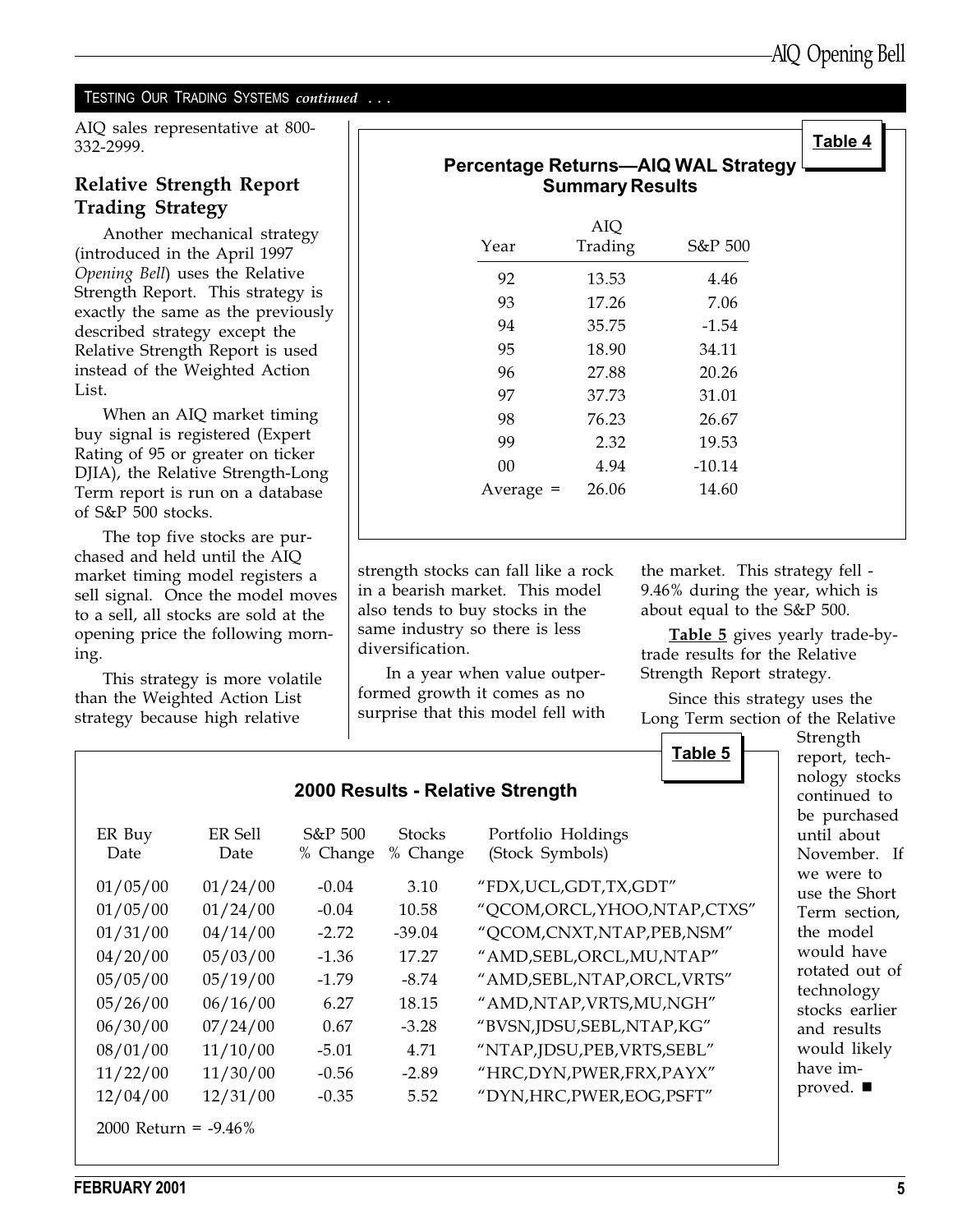#### TESTING OUR TRADING SYSTEMS *continued* ...

AIQ sales representative at 800- 332-2999.

### Relative Strength Report Trading Strategy

Another mechanical strategy (introduced in the April 1997 Opening Bell) uses the Relative Strength Report. This strategy is exactly the same as the previously described strategy except the Relative Strength Report is used instead of the Weighted Action List.

When an AIQ market timing buy signal is registered (Expert Rating of 95 or greater on ticker DJIA), the Relative Strength-Long Term report is run on a database of S&P 500 stocks.

The top five stocks are purchased and held until the AIQ market timing model registers a sell signal. Once the model moves to a sell, all stocks are sold at the opening price the following morning.

This strategy is more volatile than the Weighted Action List strategy because high relative

| Percentage Returns-AIQ WAL Strategy<br><b>Summary Results</b> |                |          |  |  |
|---------------------------------------------------------------|----------------|----------|--|--|
| Year                                                          | AIQ<br>Trading | S&P 500  |  |  |
| 92                                                            | 13.53          | 4.46     |  |  |
| 93                                                            | 17.26          | 7.06     |  |  |
| 94                                                            | 35.75          | $-1.54$  |  |  |
| 95                                                            | 18.90          | 34.11    |  |  |
| 96                                                            | 27.88          | 20.26    |  |  |
| 97                                                            | 37.73          | 31.01    |  |  |
| 98                                                            | 76.23          | 26.67    |  |  |
| 99                                                            | 2.32           | 19.53    |  |  |
| 00                                                            | 4.94           | $-10.14$ |  |  |
| Average $=$                                                   | 26.06          | 14.60    |  |  |

strength stocks can fall like a rock in a bearish market. This model also tends to buy stocks in the same industry so there is less diversification.

In a year when value outperformed growth it comes as no surprise that this model fell with the market. This strategy fell - 9.46% during the year, which is about equal to the S&P 500.

Table 5 gives yearly trade-bytrade results for the Relative Strength Report strategy.

Since this strategy uses the Long Term section of the Relative



|                         |                 |                     |                           | 2000 Results - Relative Strength      |
|-------------------------|-----------------|---------------------|---------------------------|---------------------------------------|
| ER Buy<br>Date          | ER Sell<br>Date | S&P 500<br>% Change | <b>Stocks</b><br>% Change | Portfolio Holdings<br>(Stock Symbols) |
| 01/05/00                | 01/24/00        | $-0.04$             | 3.10                      | "FDX, UCL, GDT, TX, GDT"              |
| 01/05/00                | 01/24/00        | $-0.04$             | 10.58                     | "QCOM, ORCL, YHOO, NTAP, CTXS"        |
| 01/31/00                | 04/14/00        | $-2.72$             | $-39.04$                  | "QCOM,CNXT,NTAP,PEB,NSM"              |
| 04/20/00                | 05/03/00        | $-1.36$             | 17.27                     | "AMD, SEBL, ORCL, MU, NTAP"           |
| 05/05/00                | 05/19/00        | $-1.79$             | $-8.74$                   | "AMD, SEBL, NTAP, ORCL, VRTS"         |
| 05/26/00                | 06/16/00        | 6.27                | 18.15                     | "AMD, NTAP, VRTS, MU, NGH"            |
| 06/30/00                | 07/24/00        | 0.67                | $-3.28$                   | "BVSN, JDSU, SEBL, NTAP, KG"          |
| 08/01/00                | 11/10/00        | $-5.01$             | 4.71                      | "NTAP,JDSU,PEB,VRTS,SEBL"             |
| 11/22/00                | 11/30/00        | $-0.56$             | $-2.89$                   | "HRC, DYN, PWER, FRX, PAYX"           |
| 12/04/00                | 12/31/00        | $-0.35$             | 5.52                      | "DYN, HRC, PWER, EOG, PSFT"           |
| 2000 Return = $-9.46\%$ |                 |                     |                           |                                       |

Strength report, technology stocks ontinued to e purchased ntil about lovember. If e were to se the Short erm section, he model ould have btated out of echnology ocks earlier. and results ould likely ave imroved.  $\blacksquare$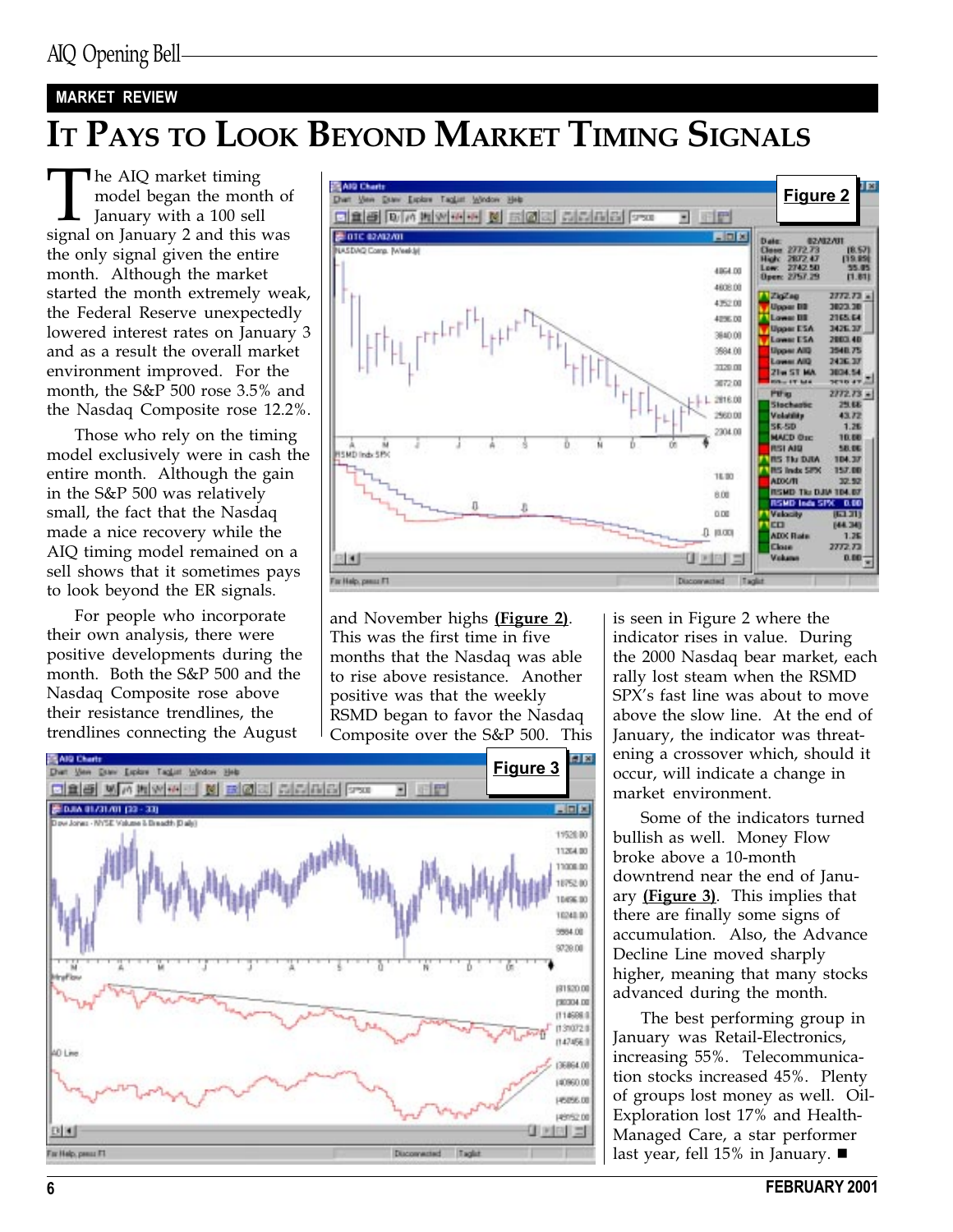#### MARKET REVIEW

# IT PAYS TO LOOK BEYOND MARKET TIMING SIGNALS

The AIQ market timing<br>model began the month of<br>January with a 100 sell<br>signal on January 2 and this was model began the month of January with a 100 sell the only signal given the entire month. Although the market started the month extremely weak, the Federal Reserve unexpectedly lowered interest rates on January 3 and as a result the overall market environment improved. For the month, the S&P 500 rose 3.5% and the Nasdaq Composite rose 12.2%.

Those who rely on the timing model exclusively were in cash the entire month. Although the gain in the S&P 500 was relatively small, the fact that the Nasdaq made a nice recovery while the AIQ timing model remained on a sell shows that it sometimes pays to look beyond the ER signals.

For people who incorporate their own analysis, there were positive developments during the month. Both the S&P 500 and the Nasdaq Composite rose above their resistance trendlines, the trendlines connecting the August



and November highs (Figure 2). This was the first time in five months that the Nasdaq was able to rise above resistance. Another positive was that the weekly RSMD began to favor the Nasdaq Composite over the S&P 500. This is seen in Figure 2 where the indicator rises in value. During the 2000 Nasdaq bear market, each rally lost steam when the RSMD SPX's fast line was about to move above the slow line. At the end of January, the indicator was threatening a crossover which, should it occur, will indicate a change in market environment.

Some of the indicators turned bullish as well. Money Flow broke above a 10-month downtrend near the end of January  $(Figure 3)$ . This implies that there are finally some signs of accumulation. Also, the Advance Decline Line moved sharply higher, meaning that many stocks advanced during the month.

The best performing group in January was Retail-Electronics, increasing 55%. Telecommunication stocks increased 45%. Plenty of groups lost money as well. Oil-Exploration lost 17% and Health-Managed Care, a star performer last year, fell 15% in January.  $\blacksquare$ 



6 FEBRUARY 2001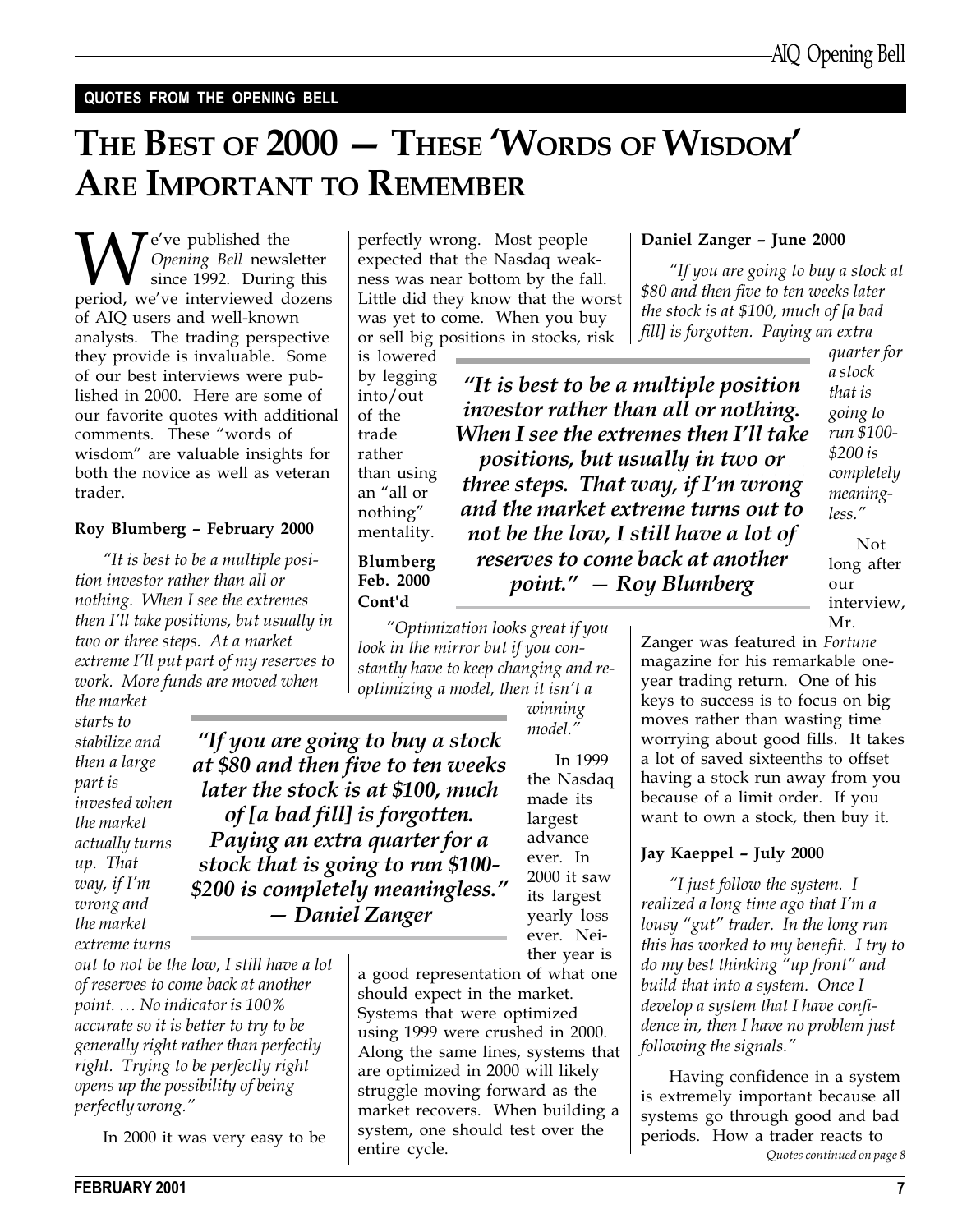#### QUOTES FROM THE OPENING BELL

# THE BEST OF 2000 - THESE 'WORDS OF WISDOM' ARE IMPORTANT TO REMEMBER

**W** *Opening Bell* newsletter since 1992. During this period, we've interviewed dozens Opening Bell newsletter since 1992. During this of AIQ users and well-known analysts. The trading perspective they provide is invaluable. Some of our best interviews were published in 2000. Here are some of our favorite quotes with additional comments. These "words of wisdom" are valuable insights for both the novice as well as veteran trader.

#### Roy Blumberg February 2000

"It is best to be a multiple position investor rather than all or nothing. When I see the extremes then I'll take positions, but usually in two or three steps. At a market extreme I'll put part of my reserves to work. More funds are moved when

the market starts to stabilize and then a large part is invested when the market actually turns up. That way, if  $I'm$ wrong and the market extreme turns

out to not be the low, I still have a lot of reserves to come back at another point. No indicator is 100% accurate so it is better to try to be generally right rather than perfectly right. Trying to be perfectly right opens up the possibility of being perfectly wrong.

In 2000 it was very easy to be

perfectly wrong. Most people expected that the Nasdaq weakness was near bottom by the fall. Little did they know that the worst was yet to come. When you buy or sell big positions in stocks, risk

is lowered by legging into/out of the trade rather than using an "all or nothing mentality.

positions, but usually in two or  $\,$  . three steps. That way, if I'm wrong "It is best to be a multiple position investor rather than all or nothing. When I see the extremes then I'll take and the market extreme turns out to not be the low, I still have a lot of reserves to come back at another  $point." - Roy Blumberg$ 

quarter for a stock that is going to run \$100- \$200 is completely meaningless.

Not long after our interview, Mr.

Blumberg Feb. 2000 Cont'd

"If you are going to buy a stock at \$80 and then five to ten weeks later the stock is at \$100, much of [a bad fill] is forgotten. Paying an extra quarter for a stock that is going to run \$100- \$200 is completely meaningless." Daniel Zanger

Optimization looks great if you look in the mirror but if you constantly have to keep changing and reoptimizing a model, then it isn't a

> winning model.

In 1999 the Nasdaq made its largest advance ever. In 2000 it saw its largest yearly loss ever. Neither year is

a good representation of what one should expect in the market. Systems that were optimized using 1999 were crushed in 2000. Along the same lines, systems that are optimized in 2000 will likely struggle moving forward as the market recovers. When building a system, one should test over the entire cycle.

Zanger was featured in Fortune magazine for his remarkable oneyear trading return. One of his keys to success is to focus on big moves rather than wasting time worrying about good fills. It takes a lot of saved sixteenths to offset having a stock run away from you because of a limit order. If you want to own a stock, then buy it.

Daniel Zanger - June 2000

If you are going to buy a stock at

\$80 and then five to ten weeks later the stock is at \$100, much of [a bad fill] is forgotten. Paying an extra

#### Jay Kaeppel - July 2000

"I just follow the system.  $I$ realized a long time ago that I'm a lousy "gut" trader. In the long run this has worked to my benefit. I try to do my best thinking "up front" and build that into a system. Once I develop a system that I have confidence in, then I have no problem just following the signals.

Quotes continued on page 8 Having confidence in a system is extremely important because all systems go through good and bad periods. How a trader reacts to